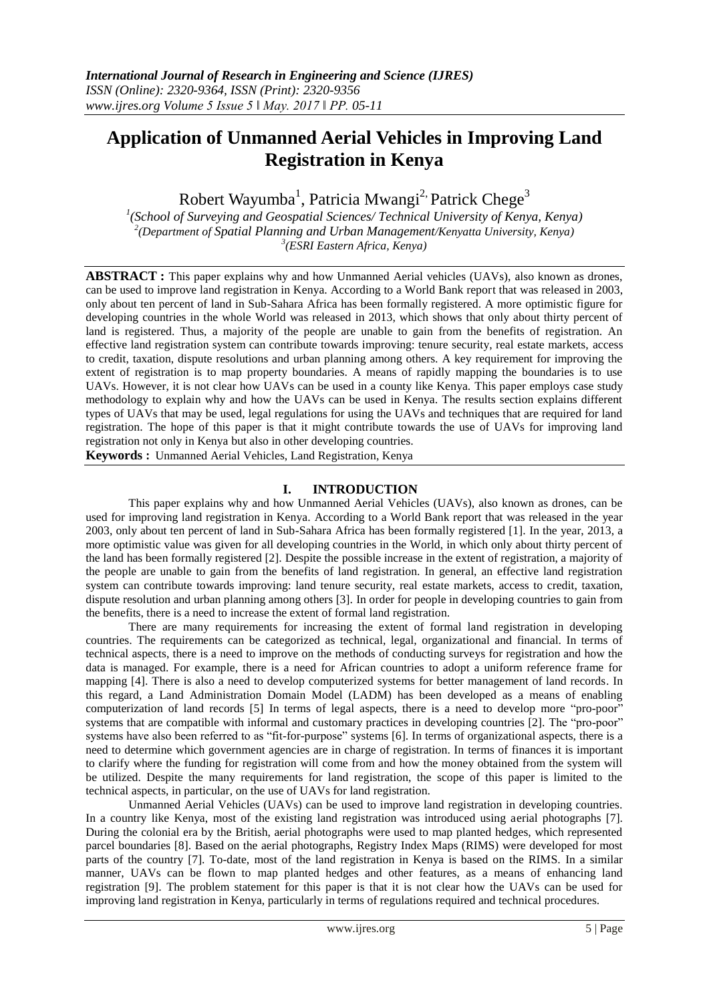# **Application of Unmanned Aerial Vehicles in Improving Land Registration in Kenya**

Robert Wayumba<sup>1</sup>, Patricia Mwangi<sup>2,</sup> Patrick Chege<sup>3</sup>

*1 (School of Surveying and Geospatial Sciences/ Technical University of Kenya, Kenya) 2 (Department of Spatial Planning and Urban Management/Kenyatta University, Kenya) 3 (ESRI Eastern Africa, Kenya)*

**ABSTRACT :** This paper explains why and how Unmanned Aerial vehicles (UAVs), also known as drones, can be used to improve land registration in Kenya. According to a World Bank report that was released in 2003, only about ten percent of land in Sub-Sahara Africa has been formally registered. A more optimistic figure for developing countries in the whole World was released in 2013, which shows that only about thirty percent of land is registered. Thus, a majority of the people are unable to gain from the benefits of registration. An effective land registration system can contribute towards improving: tenure security, real estate markets, access to credit, taxation, dispute resolutions and urban planning among others. A key requirement for improving the extent of registration is to map property boundaries. A means of rapidly mapping the boundaries is to use UAVs. However, it is not clear how UAVs can be used in a county like Kenya. This paper employs case study methodology to explain why and how the UAVs can be used in Kenya. The results section explains different types of UAVs that may be used, legal regulations for using the UAVs and techniques that are required for land registration. The hope of this paper is that it might contribute towards the use of UAVs for improving land registration not only in Kenya but also in other developing countries.

**Keywords :** Unmanned Aerial Vehicles, Land Registration, Kenya

## **I. INTRODUCTION**

This paper explains why and how Unmanned Aerial Vehicles (UAVs), also known as drones, can be used for improving land registration in Kenya. According to a World Bank report that was released in the year 2003, only about ten percent of land in Sub-Sahara Africa has been formally registered [1]. In the year, 2013, a more optimistic value was given for all developing countries in the World, in which only about thirty percent of the land has been formally registered [2]. Despite the possible increase in the extent of registration, a majority of the people are unable to gain from the benefits of land registration. In general, an effective land registration system can contribute towards improving: land tenure security, real estate markets, access to credit, taxation, dispute resolution and urban planning among others [3]. In order for people in developing countries to gain from the benefits, there is a need to increase the extent of formal land registration.

There are many requirements for increasing the extent of formal land registration in developing countries. The requirements can be categorized as technical, legal, organizational and financial. In terms of technical aspects, there is a need to improve on the methods of conducting surveys for registration and how the data is managed. For example, there is a need for African countries to adopt a uniform reference frame for mapping [4]. There is also a need to develop computerized systems for better management of land records. In this regard, a Land Administration Domain Model (LADM) has been developed as a means of enabling computerization of land records [5] In terms of legal aspects, there is a need to develop more "pro-poor" systems that are compatible with informal and customary practices in developing countries [2]. The "pro-poor" systems have also been referred to as "fit-for-purpose" systems [6]. In terms of organizational aspects, there is a need to determine which government agencies are in charge of registration. In terms of finances it is important to clarify where the funding for registration will come from and how the money obtained from the system will be utilized. Despite the many requirements for land registration, the scope of this paper is limited to the technical aspects, in particular, on the use of UAVs for land registration.

Unmanned Aerial Vehicles (UAVs) can be used to improve land registration in developing countries. In a country like Kenya, most of the existing land registration was introduced using aerial photographs [7]. During the colonial era by the British, aerial photographs were used to map planted hedges, which represented parcel boundaries [8]. Based on the aerial photographs, Registry Index Maps (RIMS) were developed for most parts of the country [7]. To-date, most of the land registration in Kenya is based on the RIMS. In a similar manner, UAVs can be flown to map planted hedges and other features, as a means of enhancing land registration [9]. The problem statement for this paper is that it is not clear how the UAVs can be used for improving land registration in Kenya, particularly in terms of regulations required and technical procedures.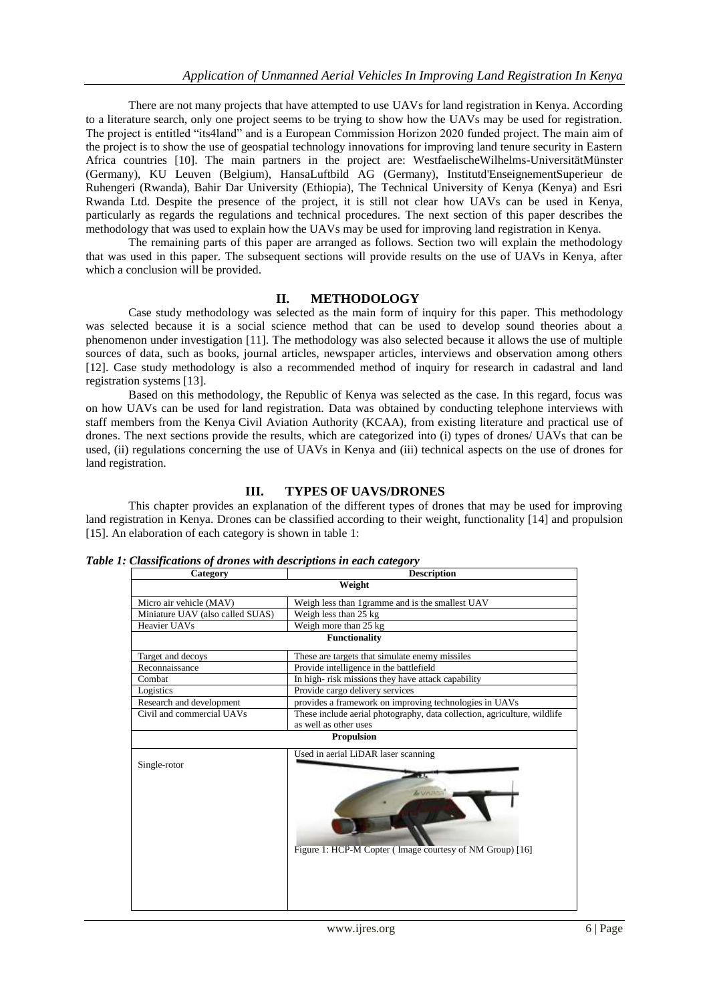There are not many projects that have attempted to use UAVs for land registration in Kenya. According to a literature search, only one project seems to be trying to show how the UAVs may be used for registration. The project is entitled "its4land" and is a European Commission Horizon 2020 funded project. The main aim of the project is to show the use of geospatial technology innovations for improving land tenure security in Eastern Africa countries [10]. The main partners in the project are: WestfaelischeWilhelms-UniversitätMünster (Germany), KU Leuven (Belgium), HansaLuftbild AG (Germany), Institutd'EnseignementSuperieur de Ruhengeri (Rwanda), Bahir Dar University (Ethiopia), The Technical University of Kenya (Kenya) and Esri Rwanda Ltd. Despite the presence of the project, it is still not clear how UAVs can be used in Kenya, particularly as regards the regulations and technical procedures. The next section of this paper describes the methodology that was used to explain how the UAVs may be used for improving land registration in Kenya.

The remaining parts of this paper are arranged as follows. Section two will explain the methodology that was used in this paper. The subsequent sections will provide results on the use of UAVs in Kenya, after which a conclusion will be provided.

## **II. METHODOLOGY**

Case study methodology was selected as the main form of inquiry for this paper. This methodology was selected because it is a social science method that can be used to develop sound theories about a phenomenon under investigation [11]. The methodology was also selected because it allows the use of multiple sources of data, such as books, journal articles, newspaper articles, interviews and observation among others [12]. Case study methodology is also a recommended method of inquiry for research in cadastral and land registration systems [13].

Based on this methodology, the Republic of Kenya was selected as the case. In this regard, focus was on how UAVs can be used for land registration. Data was obtained by conducting telephone interviews with staff members from the Kenya Civil Aviation Authority (KCAA), from existing literature and practical use of drones. The next sections provide the results, which are categorized into (i) types of drones/ UAVs that can be used, (ii) regulations concerning the use of UAVs in Kenya and (iii) technical aspects on the use of drones for land registration.

## **III. TYPES OF UAVS/DRONES**

This chapter provides an explanation of the different types of drones that may be used for improving land registration in Kenya. Drones can be classified according to their weight, functionality [14] and propulsion [15]. An elaboration of each category is shown in table 1:

| Table 1: Classifications of drones with descriptions in each category |  |  |
|-----------------------------------------------------------------------|--|--|
|                                                                       |  |  |

| Category                         | <b>Description</b>                                                                                                |  |  |  |
|----------------------------------|-------------------------------------------------------------------------------------------------------------------|--|--|--|
| Weight                           |                                                                                                                   |  |  |  |
| Micro air vehicle (MAV)          | Weigh less than 1 gramme and is the smallest UAV                                                                  |  |  |  |
| Miniature UAV (also called SUAS) | Weigh less than 25 kg                                                                                             |  |  |  |
| Heavier UAVs                     | Weigh more than 25 kg                                                                                             |  |  |  |
| <b>Functionality</b>             |                                                                                                                   |  |  |  |
| Target and decoys                | These are targets that simulate enemy missiles                                                                    |  |  |  |
| Reconnaissance                   | Provide intelligence in the battlefield                                                                           |  |  |  |
| Combat                           | In high-risk missions they have attack capability                                                                 |  |  |  |
| Logistics                        | Provide cargo delivery services                                                                                   |  |  |  |
| Research and development         | provides a framework on improving technologies in UAVs                                                            |  |  |  |
| Civil and commercial UAVs        | These include aerial photography, data collection, agriculture, wildlife                                          |  |  |  |
|                                  | as well as other uses                                                                                             |  |  |  |
| <b>Propulsion</b>                |                                                                                                                   |  |  |  |
| Single-rotor                     | Used in aerial LiDAR laser scanning<br>п.<br>A. VARDA<br>Figure 1: HCP-M Copter (Image courtesy of NM Group) [16] |  |  |  |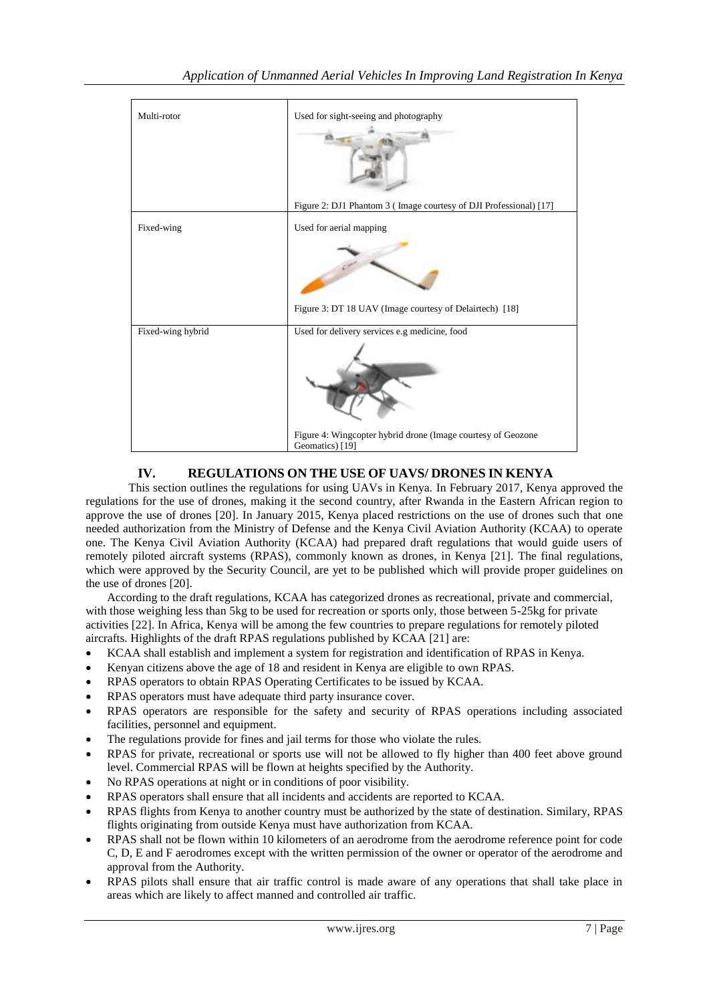| Multi-rotor       | Used for sight-seeing and photography<br>Figure 2: DJ1 Phantom 3 (Image courtesy of DJI Professional) [17]                       |
|-------------------|----------------------------------------------------------------------------------------------------------------------------------|
| Fixed-wing        | Used for aerial mapping<br>Figure 3: DT 18 UAV (Image courtesy of Delairtech) [18]                                               |
| Fixed-wing hybrid | Used for delivery services e.g medicine, food<br>Figure 4: Wingcopter hybrid drone (Image courtesy of Geozone<br>Geomatics) [19] |

# **IV. REGULATIONS ON THE USE OF UAVS/ DRONES IN KENYA**

This section outlines the regulations for using UAVs in Kenya. In February 2017, Kenya approved the regulations for the use of drones, making it the second country, after Rwanda in the Eastern African region to approve the use of drones [20]. In January 2015, Kenya placed restrictions on the use of drones such that one needed authorization from the Ministry of Defense and the Kenya Civil Aviation Authority (KCAA) to operate one. The Kenya Civil Aviation Authority (KCAA) had prepared draft regulations that would guide users of remotely piloted aircraft systems (RPAS), commonly known as drones, in Kenya [21]. The final regulations, which were approved by the Security Council, are yet to be published which will provide proper guidelines on the use of drones [20].

According to the draft regulations, KCAA has categorized drones as recreational, private and commercial, with those weighing less than 5kg to be used for recreation or sports only, those between 5-25kg for private activities [22]. In Africa, Kenya will be among the few countries to prepare regulations for remotely piloted aircrafts. Highlights of the draft RPAS regulations published by KCAA [21] are:

- KCAA shall establish and implement a system for registration and identification of RPAS in Kenya.
- Kenyan citizens above the age of 18 and resident in Kenya are eligible to own RPAS.
- RPAS operators to obtain RPAS Operating Certificates to be issued by KCAA.
- RPAS operators must have adequate third party insurance cover.
- RPAS operators are responsible for the safety and security of RPAS operations including associated facilities, personnel and equipment.
- The regulations provide for fines and jail terms for those who violate the rules.
- RPAS for private, recreational or sports use will not be allowed to fly higher than 400 feet above ground level. Commercial RPAS will be flown at heights specified by the Authority.
- No RPAS operations at night or in conditions of poor visibility.
- RPAS operators shall ensure that all incidents and accidents are reported to KCAA.
- RPAS flights from Kenya to another country must be authorized by the state of destination. Similary, RPAS flights originating from outside Kenya must have authorization from KCAA.
- RPAS shall not be flown within 10 kilometers of an aerodrome from the aerodrome reference point for code C, D, E and F aerodromes except with the written permission of the owner or operator of the aerodrome and approval from the Authority.
- RPAS pilots shall ensure that air traffic control is made aware of any operations that shall take place in areas which are likely to affect manned and controlled air traffic.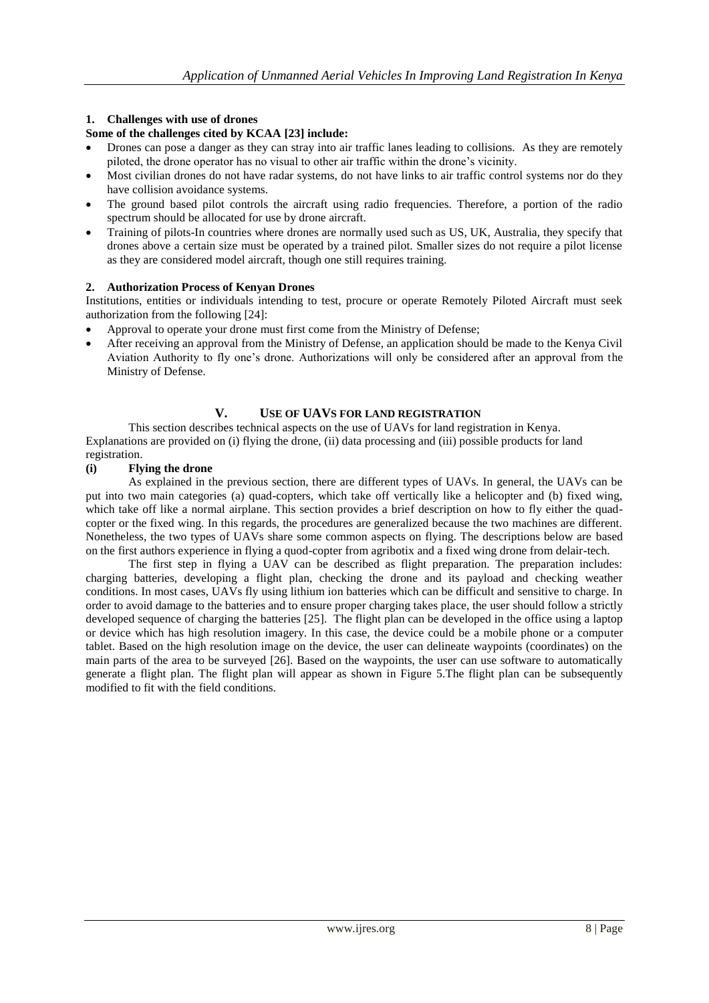## **1. Challenges with use of drones**

#### **Some of the challenges cited by KCAA [23] include:**

- Drones can pose a danger as they can stray into air traffic lanes leading to collisions. As they are remotely piloted, the drone operator has no visual to other air traffic within the drone's vicinity.
- Most civilian drones do not have radar systems, do not have links to air traffic control systems nor do they have collision avoidance systems.
- The ground based pilot controls the aircraft using radio frequencies. Therefore, a portion of the radio spectrum should be allocated for use by drone aircraft.
- Training of pilots-In countries where drones are normally used such as US, UK, Australia, they specify that drones above a certain size must be operated by a trained pilot. Smaller sizes do not require a pilot license as they are considered model aircraft, though one still requires training.

#### **2. Authorization Process of Kenyan Drones**

Institutions, entities or individuals intending to test, procure or operate Remotely Piloted Aircraft must seek authorization from the following [24]:

- Approval to operate your drone must first come from the Ministry of Defense;
- After receiving an approval from the Ministry of Defense, an application should be made to the Kenya Civil Aviation Authority to fly one's drone. Authorizations will only be considered after an approval from the Ministry of Defense.

## **V. USE OF UAVS FOR LAND REGISTRATION**

This section describes technical aspects on the use of UAVs for land registration in Kenya. Explanations are provided on (i) flying the drone, (ii) data processing and (iii) possible products for land registration.

#### **(i) Flying the drone**

As explained in the previous section, there are different types of UAVs. In general, the UAVs can be put into two main categories (a) quad-copters, which take off vertically like a helicopter and (b) fixed wing, which take off like a normal airplane. This section provides a brief description on how to fly either the quadcopter or the fixed wing. In this regards, the procedures are generalized because the two machines are different. Nonetheless, the two types of UAVs share some common aspects on flying. The descriptions below are based on the first authors experience in flying a quod-copter from agribotix and a fixed wing drone from delair-tech.

The first step in flying a UAV can be described as flight preparation. The preparation includes: charging batteries, developing a flight plan, checking the drone and its payload and checking weather conditions. In most cases, UAVs fly using lithium ion batteries which can be difficult and sensitive to charge. In order to avoid damage to the batteries and to ensure proper charging takes place, the user should follow a strictly developed sequence of charging the batteries [25]. The flight plan can be developed in the office using a laptop or device which has high resolution imagery. In this case, the device could be a mobile phone or a computer tablet. Based on the high resolution image on the device, the user can delineate waypoints (coordinates) on the main parts of the area to be surveyed [26]. Based on the waypoints, the user can use software to automatically generate a flight plan. The flight plan will appear as shown in Figure 5.The flight plan can be subsequently modified to fit with the field conditions.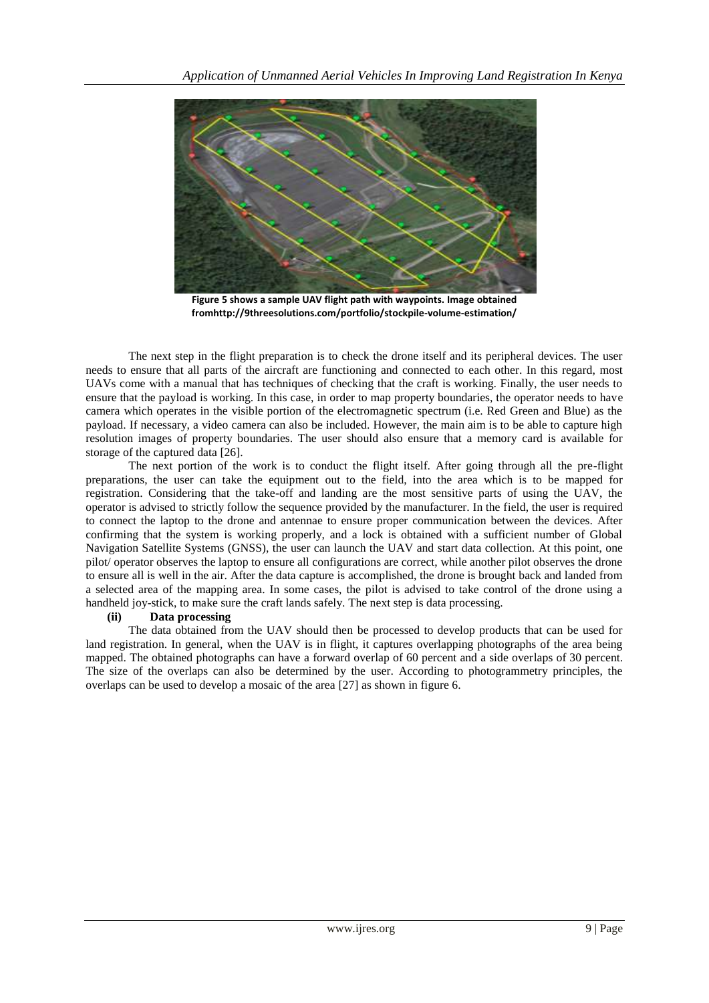

**Figure 5 shows a sample UAV flight path with waypoints. Image obtained fromhttp://9threesolutions.com/portfolio/stockpile-volume-estimation/**

The next step in the flight preparation is to check the drone itself and its peripheral devices. The user needs to ensure that all parts of the aircraft are functioning and connected to each other. In this regard, most UAVs come with a manual that has techniques of checking that the craft is working. Finally, the user needs to ensure that the payload is working. In this case, in order to map property boundaries, the operator needs to have camera which operates in the visible portion of the electromagnetic spectrum (i.e. Red Green and Blue) as the payload. If necessary, a video camera can also be included. However, the main aim is to be able to capture high resolution images of property boundaries. The user should also ensure that a memory card is available for storage of the captured data [26].

The next portion of the work is to conduct the flight itself. After going through all the pre-flight preparations, the user can take the equipment out to the field, into the area which is to be mapped for registration. Considering that the take-off and landing are the most sensitive parts of using the UAV, the operator is advised to strictly follow the sequence provided by the manufacturer. In the field, the user is required to connect the laptop to the drone and antennae to ensure proper communication between the devices. After confirming that the system is working properly, and a lock is obtained with a sufficient number of Global Navigation Satellite Systems (GNSS), the user can launch the UAV and start data collection. At this point, one pilot/ operator observes the laptop to ensure all configurations are correct, while another pilot observes the drone to ensure all is well in the air. After the data capture is accomplished, the drone is brought back and landed from a selected area of the mapping area. In some cases, the pilot is advised to take control of the drone using a handheld joy-stick, to make sure the craft lands safely. The next step is data processing.

#### **(ii) Data processing**

The data obtained from the UAV should then be processed to develop products that can be used for land registration. In general, when the UAV is in flight, it captures overlapping photographs of the area being mapped. The obtained photographs can have a forward overlap of 60 percent and a side overlaps of 30 percent. The size of the overlaps can also be determined by the user. According to photogrammetry principles, the overlaps can be used to develop a mosaic of the area [27] as shown in figure 6.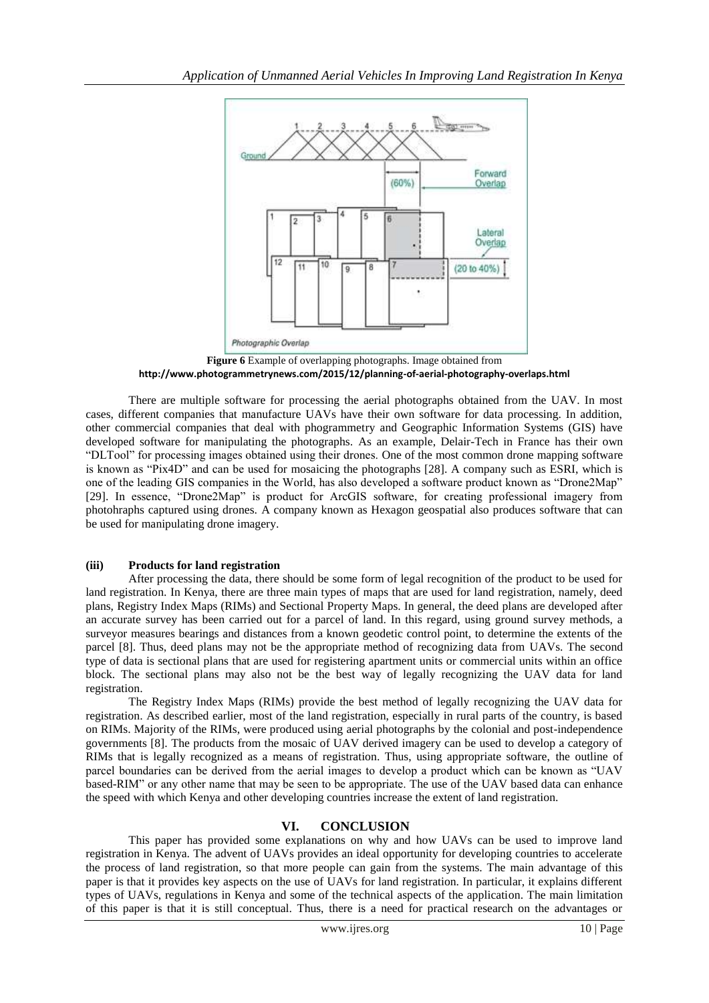

**Figure 6** Example of overlapping photographs. Image obtained from **<http://www.photogrammetrynews.com/2015/12/planning-of-aerial-photography-overlaps.html>**

There are multiple software for processing the aerial photographs obtained from the UAV. In most cases, different companies that manufacture UAVs have their own software for data processing. In addition, other commercial companies that deal with phogrammetry and Geographic Information Systems (GIS) have developed software for manipulating the photographs. As an example, Delair-Tech in France has their own "DLTool" for processing images obtained using their drones. One of the most common drone mapping software is known as "Pix4D" and can be used for mosaicing the photographs [28]. A company such as ESRI, which is one of the leading GIS companies in the World, has also developed a software product known as "Drone2Map" [29]. In essence, "Drone2Map" is product for ArcGIS software, for creating professional imagery from photohraphs captured using drones. A company known as Hexagon geospatial also produces software that can be used for manipulating drone imagery.

## **(iii) Products for land registration**

After processing the data, there should be some form of legal recognition of the product to be used for land registration. In Kenya, there are three main types of maps that are used for land registration, namely, deed plans, Registry Index Maps (RIMs) and Sectional Property Maps. In general, the deed plans are developed after an accurate survey has been carried out for a parcel of land. In this regard, using ground survey methods, a surveyor measures bearings and distances from a known geodetic control point, to determine the extents of the parcel [8]. Thus, deed plans may not be the appropriate method of recognizing data from UAVs. The second type of data is sectional plans that are used for registering apartment units or commercial units within an office block. The sectional plans may also not be the best way of legally recognizing the UAV data for land registration.

The Registry Index Maps (RIMs) provide the best method of legally recognizing the UAV data for registration. As described earlier, most of the land registration, especially in rural parts of the country, is based on RIMs. Majority of the RIMs, were produced using aerial photographs by the colonial and post-independence governments [8]. The products from the mosaic of UAV derived imagery can be used to develop a category of RIMs that is legally recognized as a means of registration. Thus, using appropriate software, the outline of parcel boundaries can be derived from the aerial images to develop a product which can be known as "UAV based-RIM" or any other name that may be seen to be appropriate. The use of the UAV based data can enhance the speed with which Kenya and other developing countries increase the extent of land registration.

## **VI. CONCLUSION**

This paper has provided some explanations on why and how UAVs can be used to improve land registration in Kenya. The advent of UAVs provides an ideal opportunity for developing countries to accelerate the process of land registration, so that more people can gain from the systems. The main advantage of this paper is that it provides key aspects on the use of UAVs for land registration. In particular, it explains different types of UAVs, regulations in Kenya and some of the technical aspects of the application. The main limitation of this paper is that it is still conceptual. Thus, there is a need for practical research on the advantages or